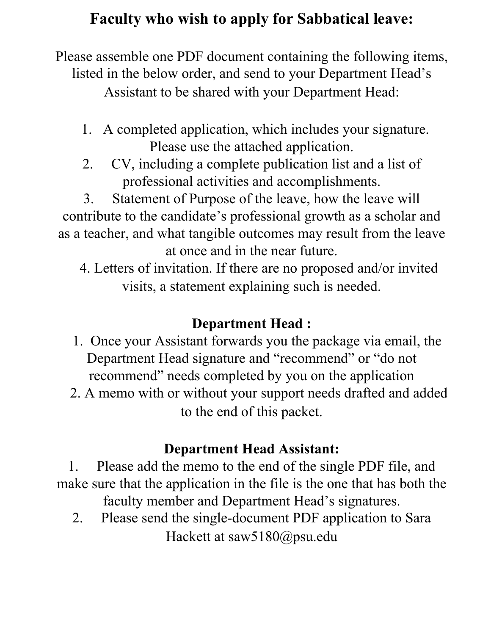## **Faculty who wish to apply for Sabbatical leave:**

Please assemble one PDF document containing the following items, listed in the below order, and send to your Department Head's Assistant to be shared with your Department Head:

- 1. A completed application, which includes your signature. Please use the attached application.
- 2. CV, including a complete publication list and a list of professional activities and accomplishments.

3. Statement of Purpose of the leave, how the leave will contribute to the candidate's professional growth as a scholar and as a teacher, and what tangible outcomes may result from the leave at once and in the near future.

 4. Letters of invitation. If there are no proposed and/or invited visits, a statement explaining such is needed.

## **Department Head :**

- 1. Once your Assistant forwards you the package via email, the Department Head signature and "recommend" or "do not recommend" needs completed by you on the application
- 2. A memo with or without your support needs drafted and added to the end of this packet.

## **Department Head Assistant:**

1. Please add the memo to the end of the single PDF file, and make sure that the application in the file is the one that has both the faculty member and Department Head's signatures.

2. Please send the single-document PDF application to Sara Hackett at saw5180@psu.edu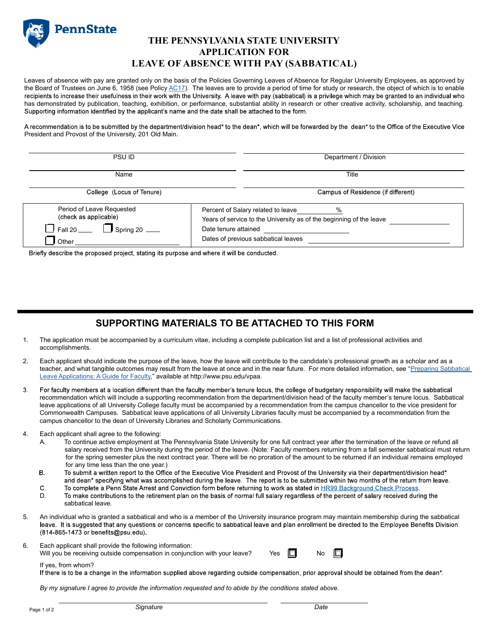

### THE PENNSYLVANIA STATE UNIVERSITY APPLICATION FOR LEAVE OF ABSENCE WITH PAY (SABBATICAL)

Leaves of absence with pay are granted only on the basis of the Policies Governing Leaves of Absence for Regular University Employees, as approved by the Board of Trustees on June 6, 1958 (see Policy <u>AC17</u>). The leaves are to provide a period of time for study or research, the object of which is to enable<br>recipients to increase their usefulness in their work with the U has demonstrated by publication, teaching, exhibition, or performance, substantial ability in research or other creative activity, scholarship, and teaching.<br>Supporting information identified by the applicant's name and th

A recommendation is to be submitted by the department/division head\* to the dean\*, which will be forwarded by the dean\* to the Office of the Executive Vice President and Provost of the University, 201 Old Main.

| PSU ID                                                                                                          | Department / Division                                                                                                                                                            |
|-----------------------------------------------------------------------------------------------------------------|----------------------------------------------------------------------------------------------------------------------------------------------------------------------------------|
| Name                                                                                                            | Title                                                                                                                                                                            |
| College (Locus of Tenure)                                                                                       | Campus of Residence (if different)                                                                                                                                               |
| Period of Leave Requested<br>(check as applicable)<br>$\Box$ Spring 20 $\Box$<br>$\Box$ Fall 20 $\Box$<br>Other | $\%$<br>Percent of Salary related to leave<br>Years of service to the University as of the beginning of the leave<br>Date tenure attained<br>Dates of previous sabbatical leaves |

Briefly describe the proposed project, stating its purpose and where it will be conducted.

## SUPPORTING MATERIALS TO BE ATTACHED TO THIS FORM

- 1. The application must be accompanied by a curriculum vitae, including a complete publication list and a list of professional activities and accomplishments.
- 2. Each applicant should indicate the purpose of the leave, how the leave will contribute to the candidate's professional growth as a scholar and as a teacher, and what tangible outcomes may result from the leave at once and in the near future. For more detailed information, see "Preparing Sabbatical Leave Applications: A Guide for Faculty," available at http://www.psu.edu/vpaa.
- $3<sup>1</sup>$ For faculty members at a location different than the faculty member's tenure locus, the college of budgetary responsibility will make the sabbatical recommendation which will include a supporting recommendation from the department/division head of the faculty member's tenure locus. Sabbatical leave applications of all University College faculty must be accompanied by a recommendation from the campus chancellor to the vice president for Commonwealth Campuses. Sabbatical leave applications of all University Libraries faculty must be accompanied by a recommendation from the campus chancellor to the dean of University Libraries and Scholarly Communications.

#### 4. Each applicant shall agree to the following:

- A. To continue active employment at The Pennsylvania State University for one full contract year after the termination of the leave or refund all salary received from the University during the period of the leave. (Note: Faculty members returning from a fall semester sabbatical must return for the spring semester plus the next contract year. There will be no proration of the amount to be returned if an individual remains employed for any time less than the one year.)
- Β. To submit a written report to the Office of the Executive Vice President and Provost of the University via their department/division head\* and dean\* specifying what was accomplished during the leave. The report is to be submitted within two months of the return from leave.
- $\mathbf{C}$ To complete a Penn State Arrest and Conviction form before returning to work as stated in HR99 Background Check Process.<br>To make contributions to the retirement plan on the basis of normal full salary regardless of the per
- D. sabbatical leave.
- 5. An individual who is granted a sabbatical and who is a member of the University insurance program may maintain membership during the sabbatical<br>leave. It is suggested that any questions or concerns specific to sabbatica (814-865-1473 or benefits@psu.edu).
- 6. Each applicant shall provide the following information:





If yes, from whom?<br>If there is to be a change in the information supplied above regarding outside compensation, prior approval should be obtained from the dean\*.

By my signature I agree to provide the information requested and to abide by the conditions stated above.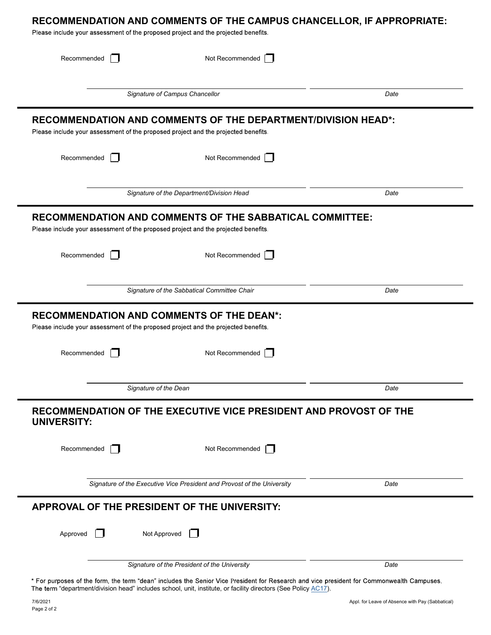| Recommended                                                                        | Not Recommended                                                         |      |
|------------------------------------------------------------------------------------|-------------------------------------------------------------------------|------|
|                                                                                    | Signature of Campus Chancellor                                          | Date |
| Please include your assessment of the proposed project and the projected benefits. | <b>RECOMMENDATION AND COMMENTS OF THE DEPARTMENT/DIVISION HEAD*:</b>    |      |
| Recommended                                                                        | Not Recommended                                                         |      |
| Signature of the Department/Division Head                                          |                                                                         | Date |
| Please include your assessment of the proposed project and the projected benefits. | RECOMMENDATION AND COMMENTS OF THE SABBATICAL COMMITTEE:                |      |
| Recommended                                                                        | Not Recommended                                                         |      |
|                                                                                    | Signature of the Sabbatical Committee Chair                             | Date |
| Please include your assessment of the proposed project and the projected benefits. | <b>RECOMMENDATION AND COMMENTS OF THE DEAN*:</b>                        |      |
|                                                                                    |                                                                         |      |
| Recommended                                                                        | Not Recommended                                                         |      |
| Signature of the Dean                                                              |                                                                         | Date |
|                                                                                    | RECOMMENDATION OF THE EXECUTIVE VICE PRESIDENT AND PROVOST OF THE       |      |
| Recommended                                                                        | Not Recommended                                                         |      |
|                                                                                    | Signature of the Executive Vice President and Provost of the University | Date |
|                                                                                    |                                                                         |      |
| <b>UNIVERSITY:</b><br>APPROVAL OF THE PRESIDENT OF THE UNIVERSITY:<br>Approved     | Not Approved                                                            |      |

The term "department/division head" includes school, unit, institute, or facility directors (See Policy AC17). 11,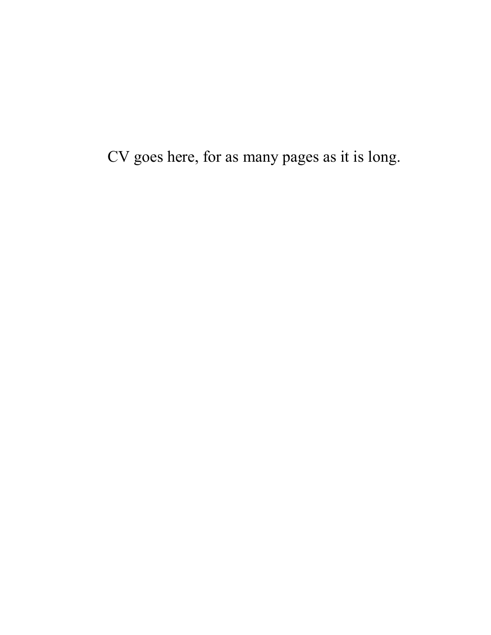CV goes here, for as many pages as it is long.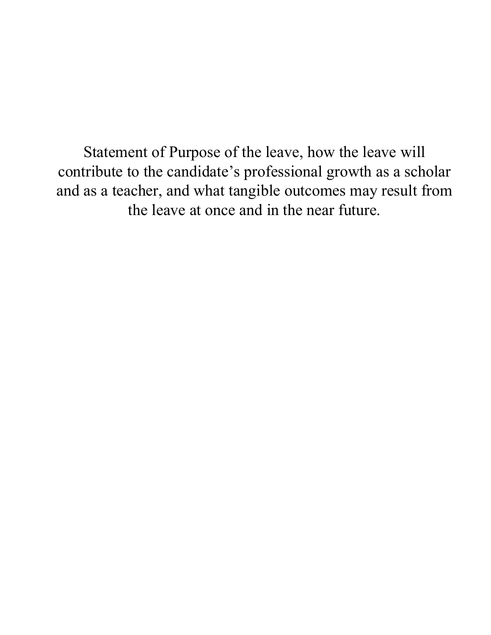Statement of Purpose of the leave, how the leave will contribute to the candidate's professional growth as a scholar and as a teacher, and what tangible outcomes may result from the leave at once and in the near future.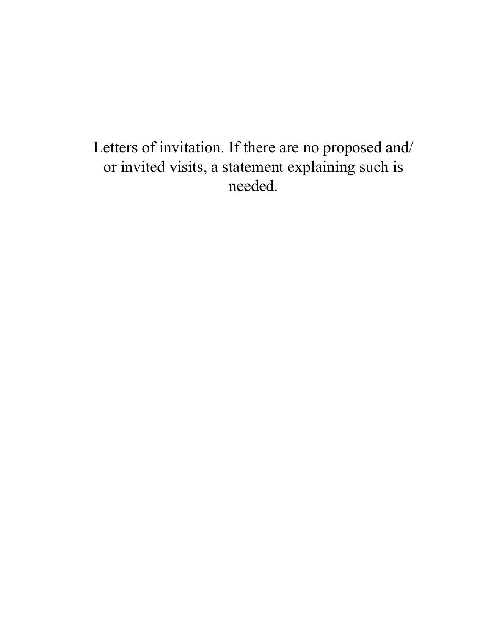Letters of invitation. If there are no proposed and/ or invited visits, a statement explaining such is needed.